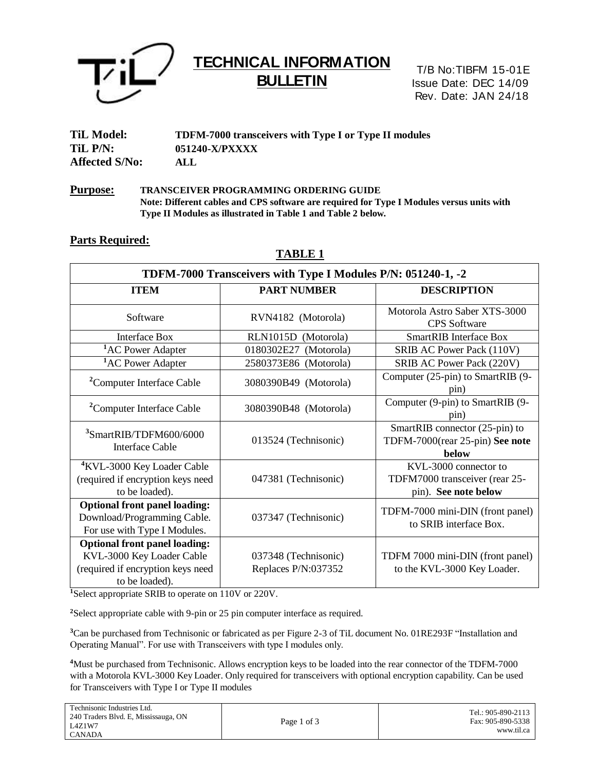

# **TECHNICAL INFORMATION BULLETIN**

T/B No:TIBFM 15-01E Issue Date: DEC 14/09 Rev. Date: JAN 24/18

| <b>TiL Model:</b>     | <b>TDFM-7000 transceivers with Type I or Type II modules</b> |
|-----------------------|--------------------------------------------------------------|
| TiL P/N:              | 051240-X/PXXXX                                               |
| <b>Affected S/No:</b> | ALL                                                          |

**Purpose: TRANSCEIVER PROGRAMMING ORDERING GUIDE Note: Different cables and CPS software are required for Type I Modules versus units with Type II Modules as illustrated in Table 1 and Table 2 below.**

### **Parts Required:**

| TDFM-7000 Transceivers with Type I Modules P/N: 051240-1, -2                                                             |                                             |                                                                                 |  |  |
|--------------------------------------------------------------------------------------------------------------------------|---------------------------------------------|---------------------------------------------------------------------------------|--|--|
| <b>ITEM</b>                                                                                                              | <b>PART NUMBER</b>                          | <b>DESCRIPTION</b>                                                              |  |  |
| Software                                                                                                                 | RVN4182 (Motorola)                          | Motorola Astro Saber XTS-3000<br><b>CPS</b> Software                            |  |  |
| <b>Interface Box</b>                                                                                                     | RLN1015D (Motorola)                         | <b>SmartRIB</b> Interface Box                                                   |  |  |
| <sup>1</sup> AC Power Adapter                                                                                            | 0180302E27<br>(Motorola)                    | SRIB AC Power Pack (110V)                                                       |  |  |
| <sup>1</sup> AC Power Adapter                                                                                            | 2580373E86 (Motorola)                       | SRIB AC Power Pack (220V)                                                       |  |  |
| <sup>2</sup> Computer Interface Cable                                                                                    | 3080390B49 (Motorola)                       | Computer (25-pin) to SmartRIB (9-<br>pin)                                       |  |  |
| <sup>2</sup> Computer Interface Cable                                                                                    | 3080390B48 (Motorola)                       | Computer (9-pin) to SmartRIB (9-<br>pin)                                        |  |  |
| <sup>3</sup> SmartRIB/TDFM600/6000<br><b>Interface Cable</b>                                                             | 013524 (Technisonic)                        | SmartRIB connector (25-pin) to<br>TDFM-7000(rear 25-pin) See note<br>below      |  |  |
| <sup>4</sup> KVL-3000 Key Loader Cable<br>(required if encryption keys need<br>to be loaded).                            | 047381 (Technisonic)                        | KVL-3000 connector to<br>TDFM7000 transceiver (rear 25-<br>pin). See note below |  |  |
| <b>Optional front panel loading:</b><br>Download/Programming Cable.<br>For use with Type I Modules.                      | 037347 (Technisonic)                        | TDFM-7000 mini-DIN (front panel)<br>to SRIB interface Box.                      |  |  |
| <b>Optional front panel loading:</b><br>KVL-3000 Key Loader Cable<br>(required if encryption keys need<br>to be loaded). | 037348 (Technisonic)<br>Replaces P/N:037352 | TDFM 7000 mini-DIN (front panel)<br>to the KVL-3000 Key Loader.                 |  |  |

**TABLE 1**

**<sup>1</sup>**Select appropriate SRIB to operate on 110V or 220V.

**<sup>2</sup>**Select appropriate cable with 9-pin or 25 pin computer interface as required.

**<sup>3</sup>**Can be purchased from Technisonic or fabricated as per Figure 2-3 of TiL document No. 01RE293F "Installation and Operating Manual". For use with Transceivers with type I modules only.

**<sup>4</sup>**Must be purchased from Technisonic. Allows encryption keys to be loaded into the rear connector of the TDFM-7000 with a Motorola KVL-3000 Key Loader. Only required for transceivers with optional encryption capability. Can be used for Transceivers with Type I or Type II modules

| Technisonic Industries Ltd.          |             | Tel.: 905-890-2113 |
|--------------------------------------|-------------|--------------------|
| 240 Traders Blvd. E, Mississauga, ON |             | Fax: 905-890-5338  |
| L4Z1W7                               | Page 1 of 3 |                    |
| <b>CANADA</b>                        |             | www.til.ca         |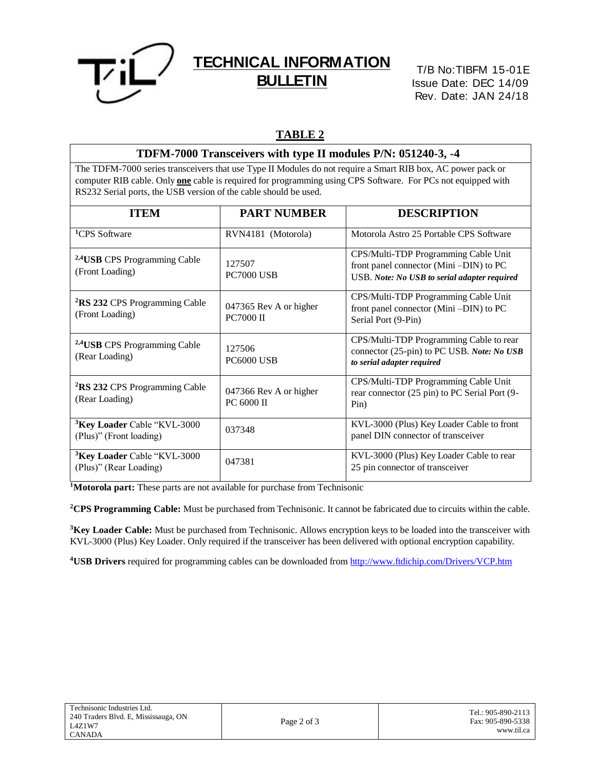

## **TECHNICAL INFORMATION BULLETIN**

T/B No:TIBFM 15-01E Issue Date: DEC 14/09 Rev. Date: JAN 24/18

## **TABLE 2**

## **TDFM-7000 Transceivers with type II modules P/N: 051240-3, -4**

The TDFM-7000 series transceivers that use Type II Modules do not require a Smart RIB box, AC power pack or computer RIB cable. Only **one** cable is required for programming using CPS Software. For PCs not equipped with RS232 Serial ports, the USB version of the cable should be used.

| <b>ITEM</b>                                                         | <b>PART NUMBER</b>                          | <b>DESCRIPTION</b>                                                                                                             |
|---------------------------------------------------------------------|---------------------------------------------|--------------------------------------------------------------------------------------------------------------------------------|
| <sup>1</sup> CPS Software                                           | RVN4181 (Motorola)                          | Motorola Astro 25 Portable CPS Software                                                                                        |
| <sup>2,4</sup> USB CPS Programming Cable<br>(Front Loading)         | 127507<br><b>PC7000 USB</b>                 | CPS/Multi-TDP Programming Cable Unit<br>front panel connector (Mini-DIN) to PC<br>USB. Note: No USB to serial adapter required |
| <sup>2</sup> RS 232 CPS Programming Cable<br>(Front Loading)        | 047365 Rev A or higher<br><b>PC7000 II</b>  | CPS/Multi-TDP Programming Cable Unit<br>front panel connector (Mini-DIN) to PC<br>Serial Port (9-Pin)                          |
| <sup>2,4</sup> USB CPS Programming Cable<br>(Rear Loading)          | 127506<br><b>PC6000 USB</b>                 | CPS/Multi-TDP Programming Cable to rear<br>connector (25-pin) to PC USB. Note: No USB<br>to serial adapter required            |
| <sup>2</sup> RS 232 CPS Programming Cable<br>(Rear Loading)         | 047366 Rev A or higher<br><b>PC 6000 II</b> | CPS/Multi-TDP Programming Cable Unit<br>rear connector (25 pin) to PC Serial Port (9-<br>Pin)                                  |
| <sup>3</sup> Key Loader Cable "KVL-3000"<br>(Plus)" (Front loading) | 037348                                      | KVL-3000 (Plus) Key Loader Cable to front<br>panel DIN connector of transceiver                                                |
| <sup>3</sup> Key Loader Cable "KVL-3000"<br>(Plus)" (Rear Loading)  | 047381                                      | KVL-3000 (Plus) Key Loader Cable to rear<br>25 pin connector of transceiver                                                    |

**<sup>1</sup>Motorola part:** These parts are not available for purchase from Technisonic

**<sup>2</sup>CPS Programming Cable:** Must be purchased from Technisonic. It cannot be fabricated due to circuits within the cable.

<sup>3</sup>Key Loader Cable: Must be purchased from Technisonic. Allows encryption keys to be loaded into the transceiver with KVL-3000 (Plus) Key Loader. Only required if the transceiver has been delivered with optional encryption capability.

**4USB Drivers** required for programming cables can be downloaded from<http://www.ftdichip.com/Drivers/VCP.htm>